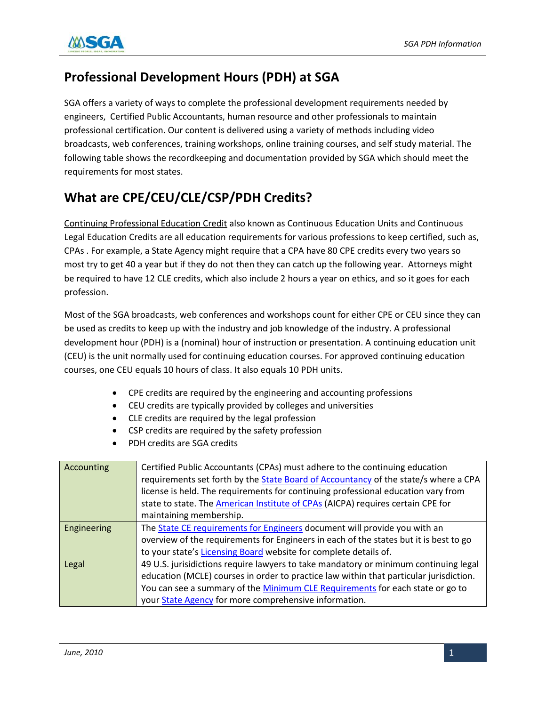

## **Professional Development Hours (PDH) at SGA**

SGA offers a variety of ways to complete the professional development requirements needed by engineers, Certified Public Accountants, human resource and other professionals to maintain professional certification. Our content is delivered using a variety of methods including video broadcasts, web conferences, training workshops, online training courses, and self study material. The following table shows the recordkeeping and documentation provided by SGA which should meet the requirements for most states.

## **What are CPE/CEU/CLE/CSP/PDH Credits?**

Continuing Professional Education Credit also known as Continuous Education Units and Continuous Legal Education Credits are all education requirements for various professions to keep certified, such as, CPAs . For example, a State Agency might require that a CPA have 80 CPE credits every two years so most try to get 40 a year but if they do not then they can catch up the following year. Attorneys might be required to have 12 CLE credits, which also include 2 hours a year on ethics, and so it goes for each profession.

Most of the SGA broadcasts, web conferences and workshops count for either CPE or CEU since they can be used as credits to keep up with the industry and job knowledge of the industry. A professional development hour (PDH) is a (nominal) hour of instruction or presentation. A continuing education unit (CEU) is the unit normally used for continuing education courses. For approved continuing education courses, one CEU equals 10 hours of class. It also equals 10 PDH units.

- CPE credits are required by the engineering and accounting professions
- CEU credits are typically provided by colleges and universities
- CLE credits are required by the legal profession
- CSP credits are required by the safety profession
- PDH credits are SGA credits

| Accounting  | Certified Public Accountants (CPAs) must adhere to the continuing education            |
|-------------|----------------------------------------------------------------------------------------|
|             | requirements set forth by the State Board of Accountancy of the state/s where a CPA    |
|             | license is held. The requirements for continuing professional education vary from      |
|             | state to state. The American Institute of CPAs (AICPA) requires certain CPE for        |
|             | maintaining membership.                                                                |
| Engineering | The State CE requirements for Engineers document will provide you with an              |
|             | overview of the requirements for Engineers in each of the states but it is best to go  |
|             | to your state's Licensing Board website for complete details of.                       |
| Legal       | 49 U.S. jurisidictions require lawyers to take mandatory or minimum continuing legal   |
|             | education (MCLE) courses in order to practice law within that particular jurisdiction. |
|             | You can see a summary of the Minimum CLE Requirements for each state or go to          |
|             | your State Agency for more comprehensive information.                                  |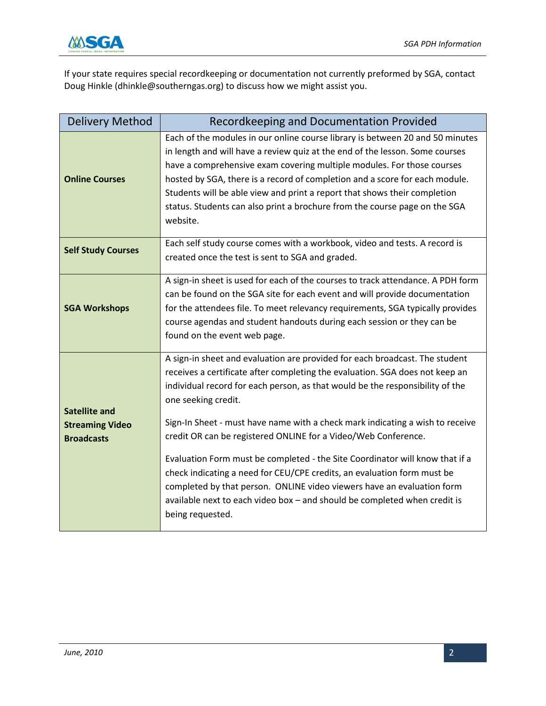

If your state requires special recordkeeping or documentation not currently preformed by SGA, contact Doug Hinkle (dhinkle@southerngas.org) to discuss how we might assist you.

| <b>Delivery Method</b>                                              | Recordkeeping and Documentation Provided                                                                                                                                                                                                                                                                                                                                                                                                                                                                                                                                                                                                                                                                                                                     |
|---------------------------------------------------------------------|--------------------------------------------------------------------------------------------------------------------------------------------------------------------------------------------------------------------------------------------------------------------------------------------------------------------------------------------------------------------------------------------------------------------------------------------------------------------------------------------------------------------------------------------------------------------------------------------------------------------------------------------------------------------------------------------------------------------------------------------------------------|
| <b>Online Courses</b>                                               | Each of the modules in our online course library is between 20 and 50 minutes<br>in length and will have a review quiz at the end of the lesson. Some courses<br>have a comprehensive exam covering multiple modules. For those courses<br>hosted by SGA, there is a record of completion and a score for each module.<br>Students will be able view and print a report that shows their completion<br>status. Students can also print a brochure from the course page on the SGA<br>website.                                                                                                                                                                                                                                                                |
| <b>Self Study Courses</b>                                           | Each self study course comes with a workbook, video and tests. A record is<br>created once the test is sent to SGA and graded.                                                                                                                                                                                                                                                                                                                                                                                                                                                                                                                                                                                                                               |
| <b>SGA Workshops</b>                                                | A sign-in sheet is used for each of the courses to track attendance. A PDH form<br>can be found on the SGA site for each event and will provide documentation<br>for the attendees file. To meet relevancy requirements, SGA typically provides<br>course agendas and student handouts during each session or they can be<br>found on the event web page.                                                                                                                                                                                                                                                                                                                                                                                                    |
| <b>Satellite and</b><br><b>Streaming Video</b><br><b>Broadcasts</b> | A sign-in sheet and evaluation are provided for each broadcast. The student<br>receives a certificate after completing the evaluation. SGA does not keep an<br>individual record for each person, as that would be the responsibility of the<br>one seeking credit.<br>Sign-In Sheet - must have name with a check mark indicating a wish to receive<br>credit OR can be registered ONLINE for a Video/Web Conference.<br>Evaluation Form must be completed - the Site Coordinator will know that if a<br>check indicating a need for CEU/CPE credits, an evaluation form must be<br>completed by that person. ONLINE video viewers have an evaluation form<br>available next to each video box - and should be completed when credit is<br>being requested. |